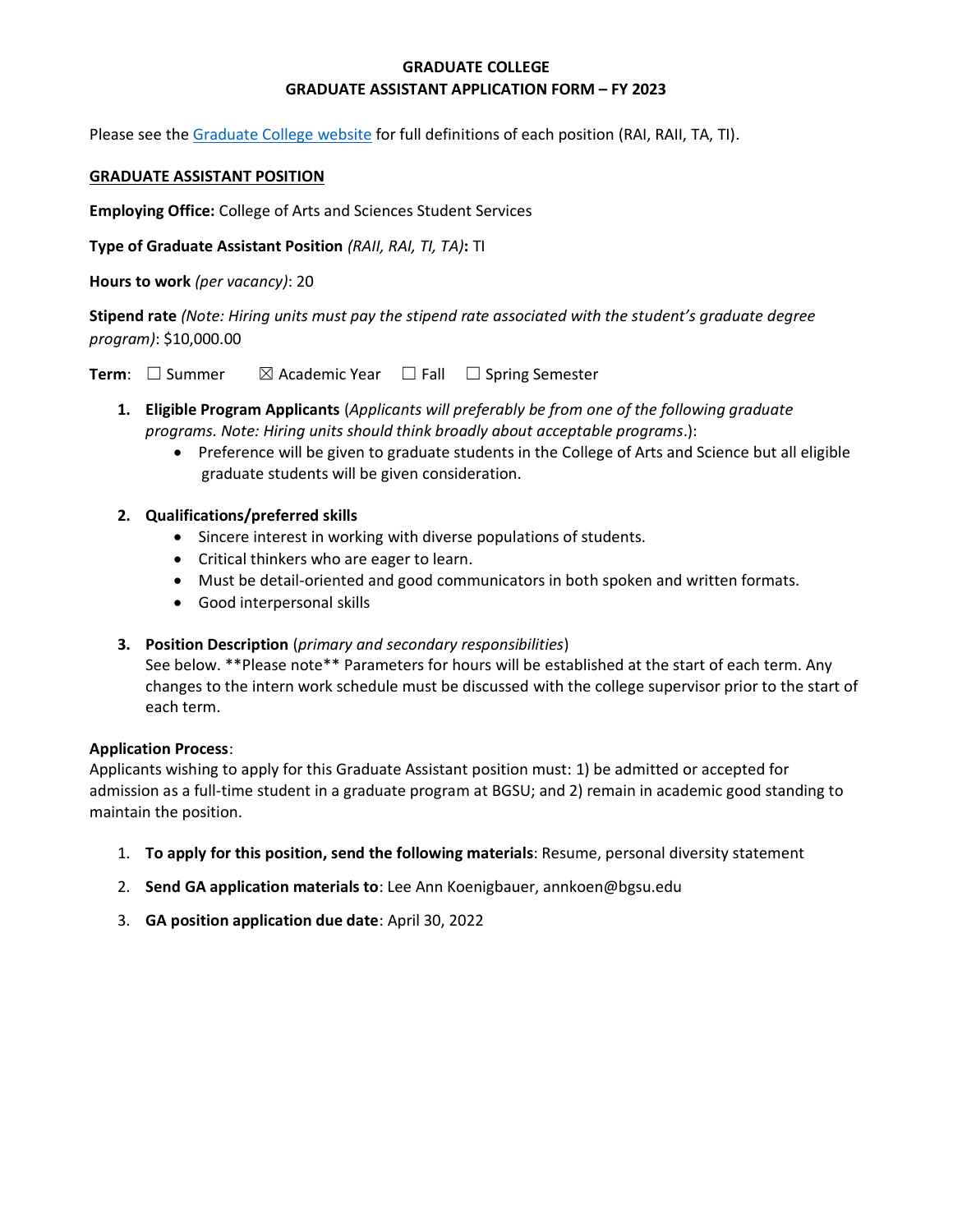# **GRADUATE COLLEGE GRADUATE ASSISTANT APPLICATION FORM – FY 2023**

Please see the [Graduate College website](https://www.bgsu.edu/content/dam/BGSU/graduate-college/GADocs/Grad-Col-GA-Position-Descriptions-21-22.pdf) for full definitions of each position (RAI, RAII, TA, TI).

## **GRADUATE ASSISTANT POSITION**

**Employing Office:** College of Arts and Sciences Student Services

**Type of Graduate Assistant Position** *(RAII, RAI, TI, TA)***:** TI

**Hours to work** *(per vacancy)*: 20

**Stipend rate** *(Note: Hiring units must pay the stipend rate associated with the student's graduate degree program)*: \$10,000.00

**Term**: □ Summer  $\boxtimes$  Academic Year □ Fall □ Spring Semester

- **1. Eligible Program Applicants** (*Applicants will preferably be from one of the following graduate programs. Note: Hiring units should think broadly about acceptable programs*.):
	- Preference will be given to graduate students in the College of Arts and Science but all eligible graduate students will be given consideration.
- **2. Qualifications/preferred skills** 
	- Sincere interest in working with diverse populations of students.
	- Critical thinkers who are eager to learn.
	- Must be detail-oriented and good communicators in both spoken and written formats.
	- Good interpersonal skills

## **3. Position Description** (*primary and secondary responsibilities*)

See below. \*\*Please note\*\* Parameters for hours will be established at the start of each term. Any changes to the intern work schedule must be discussed with the college supervisor prior to the start of each term.

## **Application Process**:

Applicants wishing to apply for this Graduate Assistant position must: 1) be admitted or accepted for admission as a full-time student in a graduate program at BGSU; and 2) remain in academic good standing to maintain the position.

- 1. **To apply for this position, send the following materials**: Resume, personal diversity statement
- 2. **Send GA application materials to**: Lee Ann Koenigbauer, annkoen@bgsu.edu
- 3. **GA position application due date**: April 30, 2022